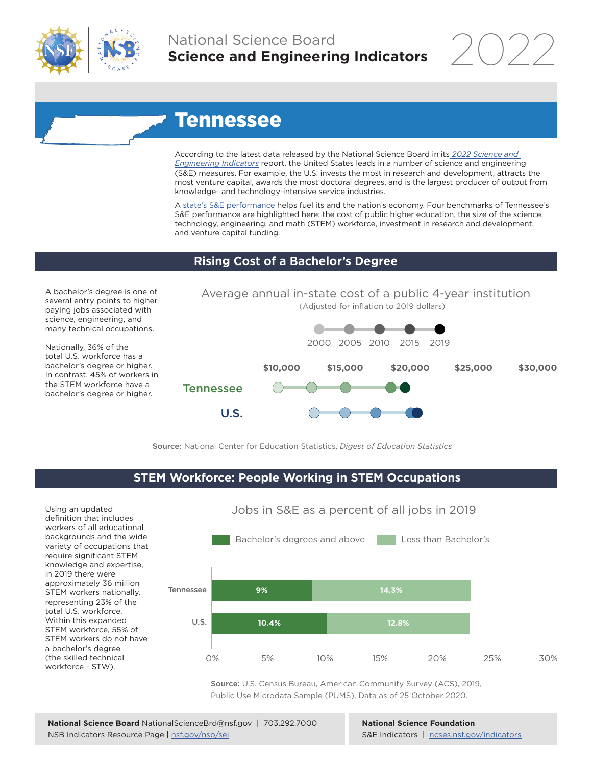

### National Science Board **Science and Engineering Indicators**

2022

## Tennessee

According to the latest data released by the National Science Board in its *2022 Science and Engineering Indicators* report, the United States leads in a number of science and engineering (S&E) measures. For example, the U.S. invests the most in research and development, attracts the most venture capital, awards the most doctoral degrees, and is the largest producer of output from knowledge- and technology-intensive service industries.

A state's S&E performance helps fuel its and the nation's economy. Four benchmarks of Tennessee's S&E performance are highlighted here: the cost of public higher education, the size of the science, technology, engineering, and math (STEM) workforce, investment in research and development, and venture capital funding.

#### **Rising Cost of a Bachelor's Degree**

A bachelor's degree is one of several entry points to higher paying jobs associated with science, engineering, and many technical occupations.

Nationally, 36% of the total U.S. workforce has a bachelor's degree or higher. In contrast, 45% of workers in the STEM workforce have a bachelor's degree or higher.



Source: National Center for Education Statistics, *Digest of Education Statistics*

#### **STEM Workforce: People Working in STEM Occupations**

Using an updated definition that includes workers of all educational backgrounds and the wide variety of occupations that require significant STEM knowledge and expertise, in 2019 there were approximately 36 million STEM workers nationally, representing 23% of the total U.S. workforce. Within this expanded STEM workforce, 55% of STEM workers do not have a bachelor's degree (the skilled technical workforce - STW).



Source: U.S. Census Bureau, American Community Survey (ACS), 2019, Public Use Microdata Sample (PUMS), Data as of 25 October 2020.

**National Science Foundation** S&E Indicators | ncses.nsf.gov/indicators

#### Jobs in S&E as a percent of all jobs in 2019